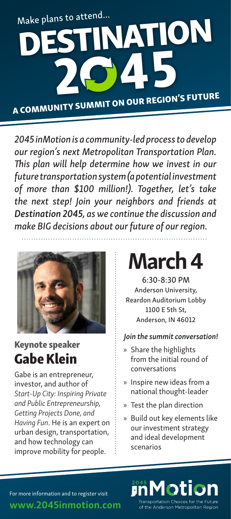

*2045 inMotion is a community-led process to develop our region's next Metropolitan Transportation Plan. This plan will help determine how we invest in our future transportation system (a potential investment of more than \$100 million!). Together, let's take the next step! Join your neighbors and friends at Destination 2045, as we continue the discussion and make BIG decisions about our future of our region.* 



## Keynote speaker Gabe Klein

Gabe is an entrepreneur, investor, and author of *Start-Up City: Inspiring Private and Public Entrepreneurship, Getting Projects Done, and Having Fun*. He is an expert on urban design, transportation, and how technology can improve mobility for people.

# March 4

6:30-8:30 PM Anderson University, Reardon Auditorium Lobby 1100 E 5th St, Anderson, IN 46012

#### *Join the summit conversation!*

- » Share the highlights from the initial round of conversations
- » Inspire new ideas from a national thought-leader
- » Test the plan direction
- » Build out key elements like our investment strategy and ideal development scenarios



For more information and to register visit

www.2045inmotion.com